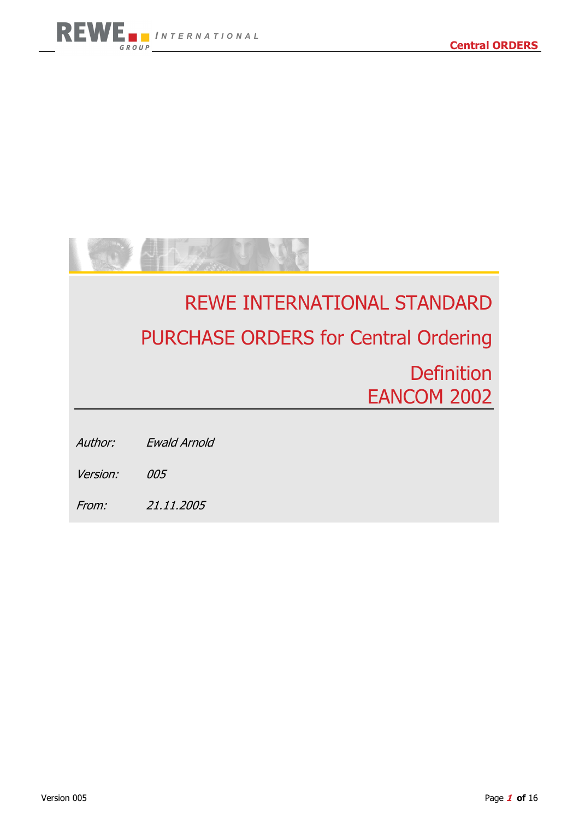

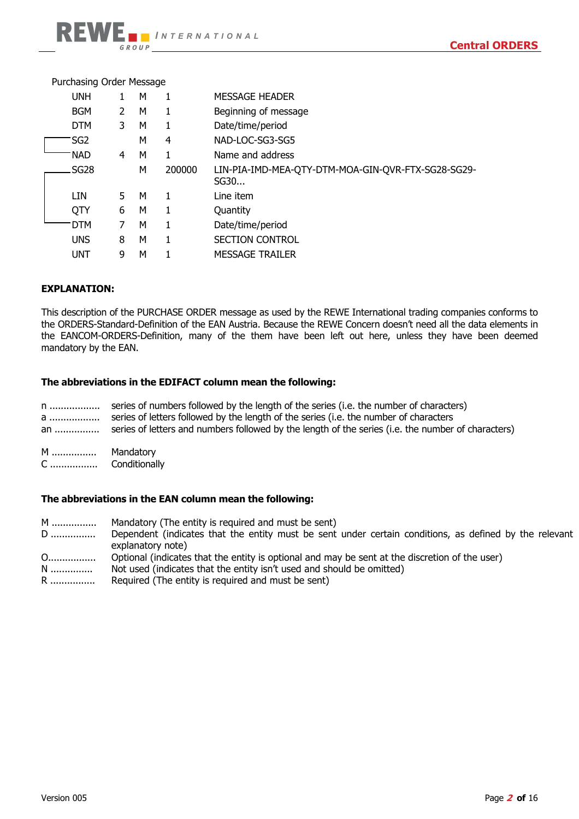| Purchasing Order Message |                |   |        |                                                            |
|--------------------------|----------------|---|--------|------------------------------------------------------------|
| <b>UNH</b>               |                | м |        | <b>MESSAGE HEADER</b>                                      |
| <b>BGM</b>               | $\overline{2}$ | м | 1      | Beginning of message                                       |
| <b>DTM</b>               | 3              | М | 1      | Date/time/period                                           |
| SG <sub>2</sub>          |                | м | 4      | NAD-LOC-SG3-SG5                                            |
| <b>NAD</b>               | 4              | м | 1      | Name and address                                           |
| SG <sub>28</sub>         |                | м | 200000 | LIN-PIA-IMD-MEA-QTY-DTM-MOA-GIN-QVR-FTX-SG28-SG29-<br>SG30 |
| LIN                      | 5.             | м |        | Line item                                                  |
| QTY                      | 6              | М | 1      | Quantity                                                   |
| <b>DTM</b>               | 7              | м | 1      | Date/time/period                                           |
| <b>UNS</b>               | 8              | М | 1      | <b>SECTION CONTROL</b>                                     |
| UNT                      | 9              | м |        | <b>MESSAGE TRAILER</b>                                     |
|                          |                |   |        |                                                            |

#### **EXPLANATION:**

This description of the PURCHASE ORDER message as used by the REWE International trading companies conforms to the ORDERS-Standard-Definition of the EAN Austria. Because the REWE Concern doesn't need all the data elements in the EANCOM-ORDERS-Definition, many of the them have been left out here, unless they have been deemed mandatory by the EAN.

#### **The abbreviations in the EDIFACT column mean the following:**

| n<br>a<br>an | series of numbers followed by the length of the series (i.e. the number of characters)<br>series of letters followed by the length of the series (i.e. the number of characters<br>series of letters and numbers followed by the length of the series (i.e. the number of characters) |
|--------------|---------------------------------------------------------------------------------------------------------------------------------------------------------------------------------------------------------------------------------------------------------------------------------------|
|              | $M$ andatan $\epsilon$                                                                                                                                                                                                                                                                |

 M ................ Mandatory C ................. Conditionally

#### **The abbreviations in the EAN column mean the following:**

 M ................ Mandatory (The entity is required and must be sent) D ................ Dependent (indicates that the entity must be sent under certain conditions, as defined by the relevant explanatory note) O................. Optional (indicates that the entity is optional and may be sent at the discretion of the user) N ............... Not used (indicates that the entity isn't used and should be omitted) R ................ Required (The entity is required and must be sent)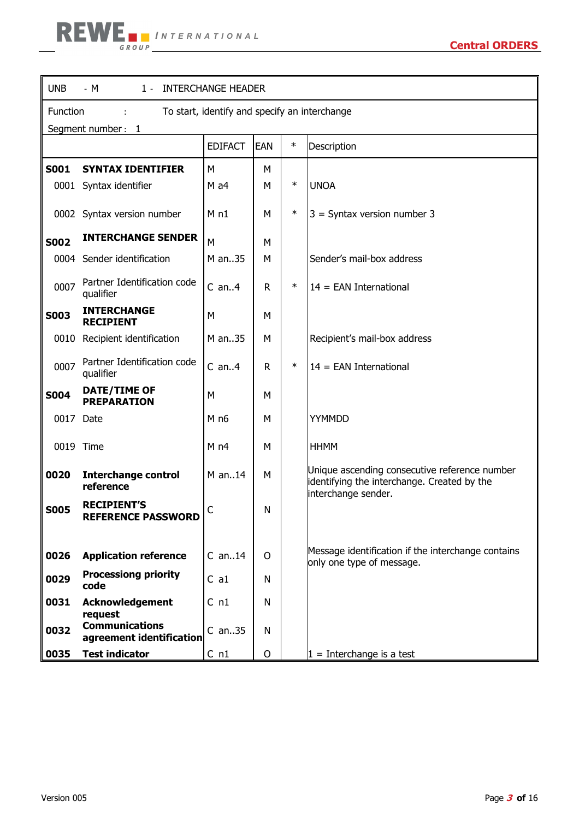| <b>UNB</b><br>1 - INTERCHANGE HEADER<br>- M               |                                                   |                 |            |        |                                                                                                                     |  |  |  |  |
|-----------------------------------------------------------|---------------------------------------------------|-----------------|------------|--------|---------------------------------------------------------------------------------------------------------------------|--|--|--|--|
| To start, identify and specify an interchange<br>Function |                                                   |                 |            |        |                                                                                                                     |  |  |  |  |
| Segment number: 1                                         |                                                   |                 |            |        |                                                                                                                     |  |  |  |  |
|                                                           |                                                   | <b>EDIFACT</b>  | <b>EAN</b> | $\ast$ | Description                                                                                                         |  |  |  |  |
| <b>S001</b>                                               | <b>SYNTAX IDENTIFIER</b>                          | М               | М          |        |                                                                                                                     |  |  |  |  |
|                                                           | 0001 Syntax identifier                            | $M$ a4          | M          | $\ast$ | <b>UNOA</b>                                                                                                         |  |  |  |  |
|                                                           | 0002 Syntax version number                        | M <sub>n1</sub> | M          | $\ast$ | $3$ = Syntax version number 3                                                                                       |  |  |  |  |
| <b>S002</b>                                               | <b>INTERCHANGE SENDER</b>                         | M               | м          |        |                                                                                                                     |  |  |  |  |
|                                                           | 0004 Sender identification                        | M an35          | м          |        | Sender's mail-box address                                                                                           |  |  |  |  |
| 0007                                                      | Partner Identification code<br>qualifier          | $C$ an $4$      | R.         | $\ast$ | $14 = EAN International$                                                                                            |  |  |  |  |
| <b>S003</b>                                               | <b>INTERCHANGE</b><br><b>RECIPIENT</b>            | M               | M          |        |                                                                                                                     |  |  |  |  |
| 0010                                                      | Recipient identification                          | M an35          | м          |        | Recipient's mail-box address                                                                                        |  |  |  |  |
| 0007                                                      | Partner Identification code<br>qualifier          | $C$ an $4$      | R          | $\ast$ | $14 = EAN International$                                                                                            |  |  |  |  |
| <b>S004</b>                                               | <b>DATE/TIME OF</b><br><b>PREPARATION</b>         | M               | М          |        |                                                                                                                     |  |  |  |  |
| 0017 Date                                                 |                                                   | M <sub>n6</sub> | M          |        | YYMMDD                                                                                                              |  |  |  |  |
|                                                           | 0019 Time                                         | M <sub>n4</sub> | M          |        | <b>HHMM</b>                                                                                                         |  |  |  |  |
| 0020                                                      | <b>Interchange control</b><br>reference           | M an14          | М          |        | Unique ascending consecutive reference number<br>identifying the interchange. Created by the<br>interchange sender. |  |  |  |  |
| <b>S005</b>                                               | <b>RECIPIENT'S</b><br>REFERENCE PASSWORD          | C               | N          |        |                                                                                                                     |  |  |  |  |
| 0026                                                      | <b>Application reference</b>                      | $C$ an14        | 0          |        | Message identification if the interchange contains<br>only one type of message.                                     |  |  |  |  |
| 0029                                                      | <b>Processiong priority</b><br>code               | C a1            | N          |        |                                                                                                                     |  |  |  |  |
| 0031                                                      | <b>Acknowledgement</b><br>request                 | C <sub>n1</sub> | N          |        |                                                                                                                     |  |  |  |  |
| 0032                                                      | <b>Communications</b><br>agreement identification | $C$ an35        | N          |        |                                                                                                                     |  |  |  |  |
| 0035                                                      | <b>Test indicator</b>                             | C <sub>n1</sub> | O          |        | $1 =$ Interchange is a test                                                                                         |  |  |  |  |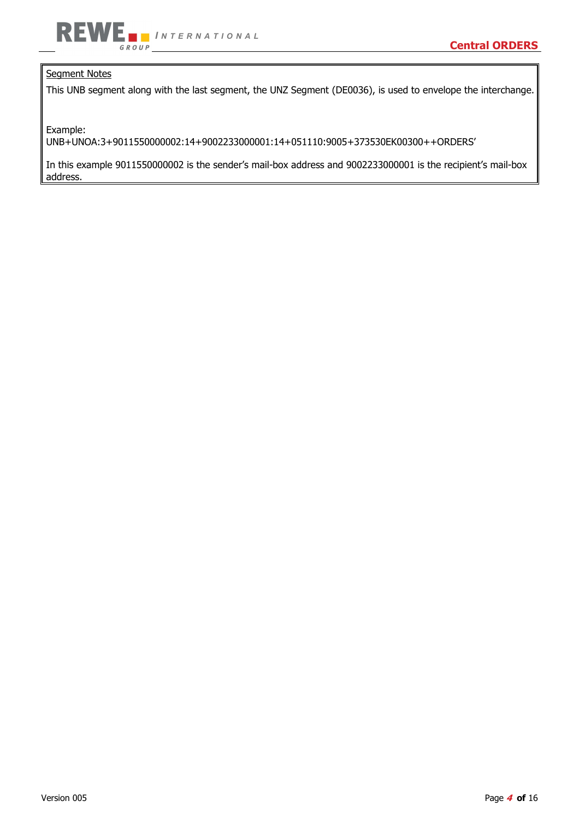

## Segment Notes

This UNB segment along with the last segment, the UNZ Segment (DE0036), is used to envelope the interchange.

Example:

UNB+UNOA:3+9011550000002:14+9002233000001:14+051110:9005+373530EK00300++ORDERS'

In this example 9011550000002 is the sender's mail-box address and 9002233000001 is the recipient's mail-box address.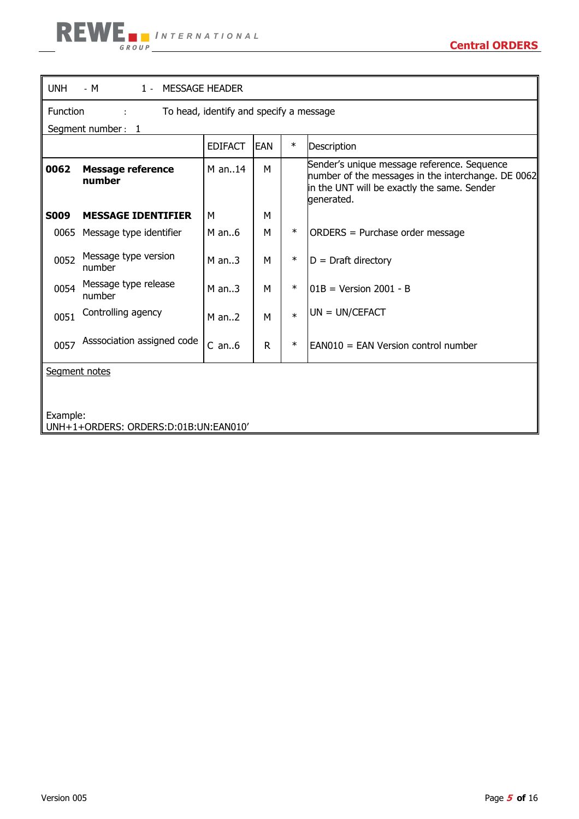| <b>UNH</b><br>$-M$<br>1 - MESSAGE HEADER |                                                     |                |            |        |                                                                                                                                                                |  |  |  |  |
|------------------------------------------|-----------------------------------------------------|----------------|------------|--------|----------------------------------------------------------------------------------------------------------------------------------------------------------------|--|--|--|--|
|                                          | Function<br>To head, identify and specify a message |                |            |        |                                                                                                                                                                |  |  |  |  |
|                                          | Segment number: 1                                   |                |            |        |                                                                                                                                                                |  |  |  |  |
|                                          |                                                     | <b>EDIFACT</b> | <b>EAN</b> | $\ast$ | Description                                                                                                                                                    |  |  |  |  |
| 0062                                     | <b>Message reference</b><br>number                  | $M$ an14       | M          |        | Sender's unique message reference. Sequence<br>number of the messages in the interchange. DE 0062<br>in the UNT will be exactly the same. Sender<br>generated. |  |  |  |  |
| <b>S009</b>                              | <b>MESSAGE IDENTIFIER</b>                           | M              | М          |        |                                                                                                                                                                |  |  |  |  |
| 0065                                     | Message type identifier                             | $M$ an6        | М          | $\ast$ | ORDERS = Purchase order message                                                                                                                                |  |  |  |  |
| 0052                                     | Message type version<br>number                      | $M$ an3        | М          | $\ast$ | $D = Draff$ directory                                                                                                                                          |  |  |  |  |
| 0054                                     | Message type release<br>number                      | $M$ an3        | М          | $\ast$ | $101B = Version 2001 - B$                                                                                                                                      |  |  |  |  |
| 0051                                     | Controlling agency                                  | $M$ an2        | М          | $\ast$ | $UN = UN/CEPTACT$                                                                                                                                              |  |  |  |  |
| 0057                                     | Asssociation assigned code                          | $C$ an $6$     | R.         | $\ast$ | EAN010 = EAN Version control number                                                                                                                            |  |  |  |  |
|                                          | Segment notes                                       |                |            |        |                                                                                                                                                                |  |  |  |  |
|                                          | Example:                                            |                |            |        |                                                                                                                                                                |  |  |  |  |

UNH+1+ORDERS: ORDERS:D:01B:UN:EAN010'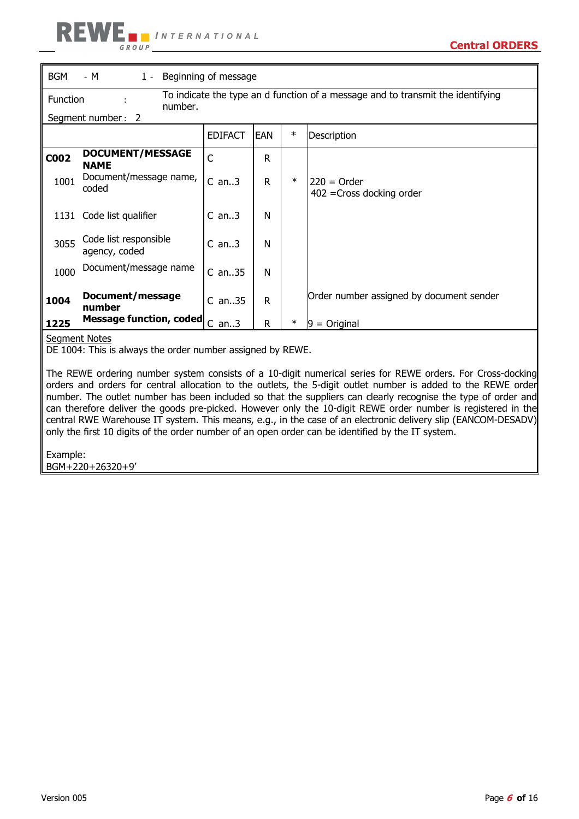| <b>BGM</b><br>$1 -$<br>Beginning of message<br>- M |                                                                                                        |                |     |        |                                              |  |  |  |  |
|----------------------------------------------------|--------------------------------------------------------------------------------------------------------|----------------|-----|--------|----------------------------------------------|--|--|--|--|
|                                                    | To indicate the type an d function of a message and to transmit the identifying<br>Function<br>number. |                |     |        |                                              |  |  |  |  |
|                                                    | Segment number:<br>2                                                                                   |                |     |        |                                              |  |  |  |  |
|                                                    |                                                                                                        | <b>EDIFACT</b> | EAN | $\ast$ | Description                                  |  |  |  |  |
| <b>C002</b>                                        | <b>DOCUMENT/MESSAGE</b><br><b>NAME</b>                                                                 | C              | R   |        |                                              |  |  |  |  |
| 1001                                               | Document/message name,<br>coded                                                                        | $C$ an3        | R.  | $\ast$ | $220 = Order$<br>$402$ = Cross docking order |  |  |  |  |
| 1131                                               | Code list qualifier                                                                                    | $C$ an3        | N   |        |                                              |  |  |  |  |
| 3055                                               | Code list responsible<br>agency, coded                                                                 | $C$ an3        | N   |        |                                              |  |  |  |  |
| 1000                                               | Document/message name                                                                                  | $C$ an35       | N   |        |                                              |  |  |  |  |
| 1004                                               | Document/message<br>number                                                                             | $C$ an35       | R   |        | Order number assigned by document sender     |  |  |  |  |
| 1225                                               | <b>Message function, coded</b>                                                                         | $C$ an3        | R.  | $\ast$ | $=$ Original<br>19                           |  |  |  |  |

#### Segment Notes

DE 1004: This is always the order number assigned by REWE.

The REWE ordering number system consists of a 10-digit numerical series for REWE orders. For Cross-docking orders and orders for central allocation to the outlets, the 5-digit outlet number is added to the REWE order number. The outlet number has been included so that the suppliers can clearly recognise the type of order and can therefore deliver the goods pre-picked. However only the 10-digit REWE order number is registered in the central RWE Warehouse IT system. This means, e.g., in the case of an electronic delivery slip (EANCOM-DESADV) only the first 10 digits of the order number of an open order can be identified by the IT system.

Example: BGM+220+26320+9'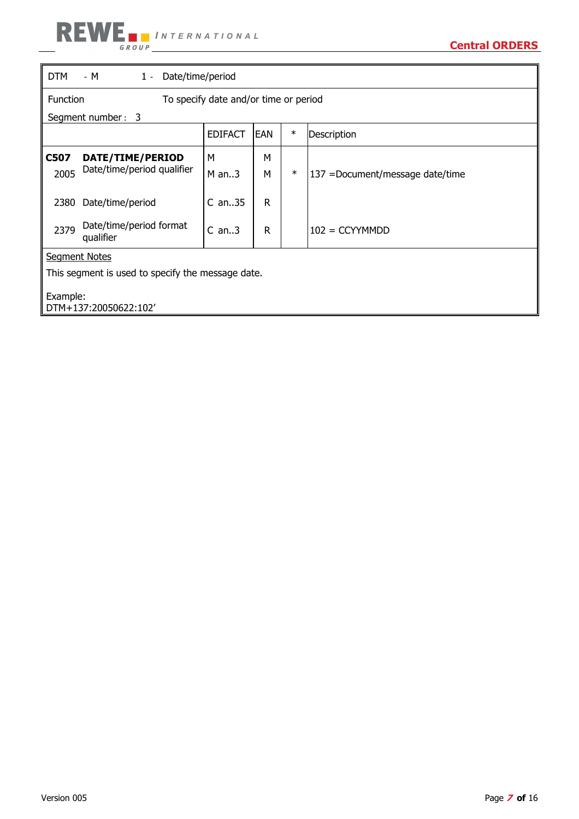| <b>DTM</b>                                             | - M<br>Date/time/period<br>$1 -$                  |                                       |    |        |                                 |  |  |  |
|--------------------------------------------------------|---------------------------------------------------|---------------------------------------|----|--------|---------------------------------|--|--|--|
| <b>Function</b>                                        |                                                   | To specify date and/or time or period |    |        |                                 |  |  |  |
|                                                        | Segment number: 3                                 |                                       |    |        |                                 |  |  |  |
| $\ast$<br><b>EDIFACT</b><br><b>IEAN</b><br>Description |                                                   |                                       |    |        |                                 |  |  |  |
| C507                                                   | DATE/TIME/PERIOD                                  | М                                     | М  |        |                                 |  |  |  |
| 2005                                                   | Date/time/period qualifier                        | $M$ an3                               | м  | $\ast$ | 137 =Document/message date/time |  |  |  |
| 2380                                                   | Date/time/period                                  | $C$ an35                              | R. |        |                                 |  |  |  |
| 2379                                                   | Date/time/period format<br>qualifier              | $C$ an3                               | R  |        | $102 = CCYYMMDD$                |  |  |  |
|                                                        | <b>Segment Notes</b>                              |                                       |    |        |                                 |  |  |  |
|                                                        | This segment is used to specify the message date. |                                       |    |        |                                 |  |  |  |
| Example:<br>DTM+137:20050622:102'                      |                                                   |                                       |    |        |                                 |  |  |  |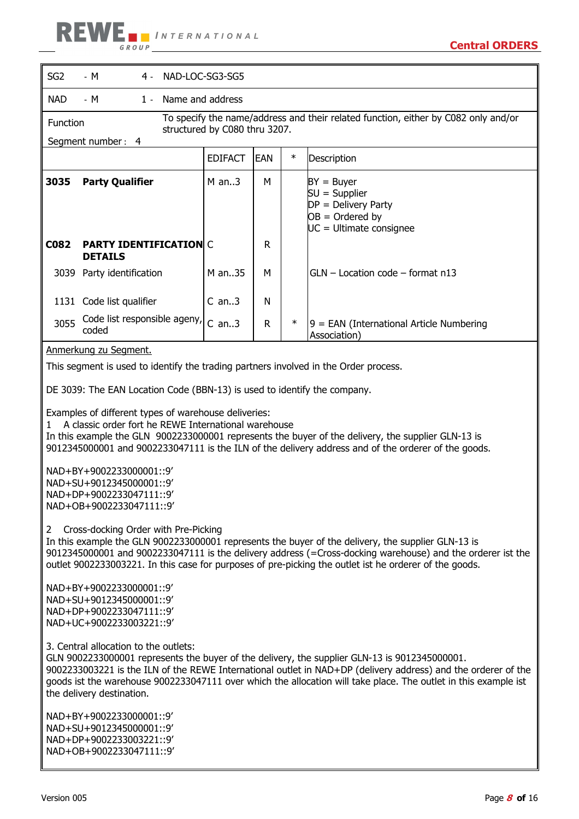

| SG <sub>2</sub><br>NAD-LOC-SG3-SG5<br>- M<br>4 -                                                                                                                                                                                                                                                                                                                                   |                                                                                                              |                               |            |        |                                                                                                                                                                                                                                                                                                                                   |  |  |  |
|------------------------------------------------------------------------------------------------------------------------------------------------------------------------------------------------------------------------------------------------------------------------------------------------------------------------------------------------------------------------------------|--------------------------------------------------------------------------------------------------------------|-------------------------------|------------|--------|-----------------------------------------------------------------------------------------------------------------------------------------------------------------------------------------------------------------------------------------------------------------------------------------------------------------------------------|--|--|--|
| <b>NAD</b>                                                                                                                                                                                                                                                                                                                                                                         | Name and address<br>- M<br>$1 -$                                                                             |                               |            |        |                                                                                                                                                                                                                                                                                                                                   |  |  |  |
| Function                                                                                                                                                                                                                                                                                                                                                                           |                                                                                                              | structured by C080 thru 3207. |            |        | To specify the name/address and their related function, either by C082 only and/or                                                                                                                                                                                                                                                |  |  |  |
|                                                                                                                                                                                                                                                                                                                                                                                    | Segment number: 4                                                                                            |                               |            |        |                                                                                                                                                                                                                                                                                                                                   |  |  |  |
|                                                                                                                                                                                                                                                                                                                                                                                    |                                                                                                              | <b>EDIFACT</b>                | <b>EAN</b> | $\ast$ | Description                                                                                                                                                                                                                                                                                                                       |  |  |  |
| 3035                                                                                                                                                                                                                                                                                                                                                                               | <b>Party Qualifier</b>                                                                                       | $M$ an3                       | м          |        | $BY = Buyer$<br>$SU =$ Supplier<br>$DP = Delivery Party$<br>$OB = Ordered by$<br>UC = Ultimate consignee                                                                                                                                                                                                                          |  |  |  |
| C082                                                                                                                                                                                                                                                                                                                                                                               | <b>PARTY IDENTIFICATION C</b><br><b>DETAILS</b>                                                              |                               | R          |        |                                                                                                                                                                                                                                                                                                                                   |  |  |  |
|                                                                                                                                                                                                                                                                                                                                                                                    | 3039 Party identification                                                                                    | M an35                        | м          |        | $GLN -$ Location code $-$ format n13                                                                                                                                                                                                                                                                                              |  |  |  |
|                                                                                                                                                                                                                                                                                                                                                                                    | 1131 Code list qualifier                                                                                     | $C$ an3                       | N          |        |                                                                                                                                                                                                                                                                                                                                   |  |  |  |
| 3055                                                                                                                                                                                                                                                                                                                                                                               | Code list responsible ageny,<br>coded                                                                        | $C$ an3                       | R          | $\ast$ | 9 = EAN (International Article Numbering<br>Association)                                                                                                                                                                                                                                                                          |  |  |  |
|                                                                                                                                                                                                                                                                                                                                                                                    | Anmerkung zu Segment.                                                                                        |                               |            |        |                                                                                                                                                                                                                                                                                                                                   |  |  |  |
|                                                                                                                                                                                                                                                                                                                                                                                    | This segment is used to identify the trading partners involved in the Order process.                         |                               |            |        |                                                                                                                                                                                                                                                                                                                                   |  |  |  |
|                                                                                                                                                                                                                                                                                                                                                                                    | DE 3039: The EAN Location Code (BBN-13) is used to identify the company.                                     |                               |            |        |                                                                                                                                                                                                                                                                                                                                   |  |  |  |
|                                                                                                                                                                                                                                                                                                                                                                                    | Examples of different types of warehouse deliveries:<br>A classic order fort he REWE International warehouse |                               |            |        | In this example the GLN 9002233000001 represents the buyer of the delivery, the supplier GLN-13 is<br>9012345000001 and 9002233047111 is the ILN of the delivery address and of the orderer of the goods.                                                                                                                         |  |  |  |
|                                                                                                                                                                                                                                                                                                                                                                                    | NAD+BY+9002233000001::9'<br>NAD+SU+9012345000001::9'<br>NAD+DP+9002233047111::9'<br>NAD+OB+9002233047111::9' |                               |            |        |                                                                                                                                                                                                                                                                                                                                   |  |  |  |
| Cross-docking Order with Pre-Picking<br>$\mathbf{2}$<br>In this example the GLN 9002233000001 represents the buyer of the delivery, the supplier GLN-13 is<br>9012345000001 and 9002233047111 is the delivery address (=Cross-docking warehouse) and the orderer ist the<br>outlet 9002233003221. In this case for purposes of pre-picking the outlet ist he orderer of the goods. |                                                                                                              |                               |            |        |                                                                                                                                                                                                                                                                                                                                   |  |  |  |
| NAD+BY+9002233000001::9'<br>NAD+SU+9012345000001::9'<br>NAD+DP+9002233047111::9'<br>NAD+UC+9002233003221::9'                                                                                                                                                                                                                                                                       |                                                                                                              |                               |            |        |                                                                                                                                                                                                                                                                                                                                   |  |  |  |
|                                                                                                                                                                                                                                                                                                                                                                                    | 3. Central allocation to the outlets:                                                                        |                               |            |        | GLN 9002233000001 represents the buyer of the delivery, the supplier GLN-13 is 9012345000001.<br>9002233003221 is the ILN of the REWE International outlet in NAD+DP (delivery address) and the orderer of the<br>goods ist the warehouse 9002233047111 over which the allocation will take place. The outlet in this example ist |  |  |  |

the delivery destination.

NAD+BY+9002233000001::9' NAD+SU+9012345000001::9' NAD+DP+9002233003221::9' NAD+OB+9002233047111::9'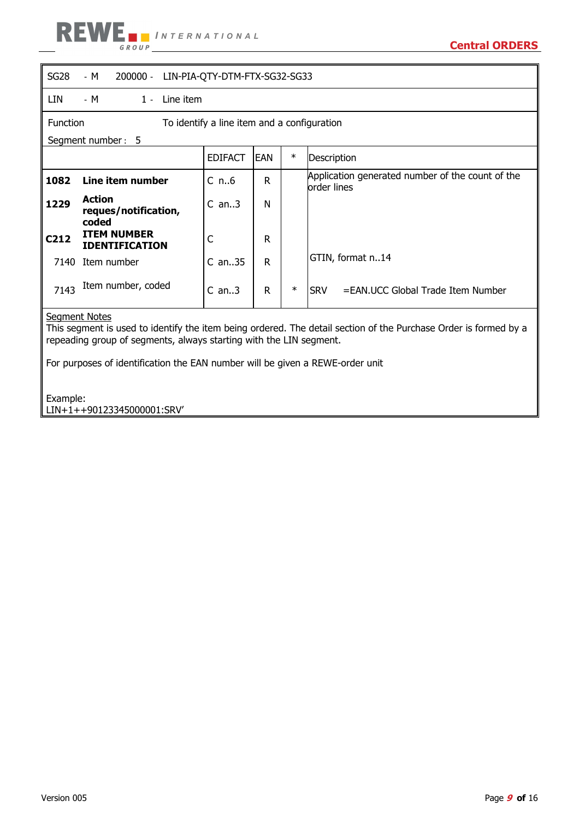

| SG <sub>28</sub><br>- M<br>$200000 -$<br>LIN-PIA-QTY-DTM-FTX-SG32-SG33 |                                                |                |             |        |                                                                 |  |  |  |  |
|------------------------------------------------------------------------|------------------------------------------------|----------------|-------------|--------|-----------------------------------------------------------------|--|--|--|--|
| LIN                                                                    | - M<br>1 - Line item                           |                |             |        |                                                                 |  |  |  |  |
| Function<br>To identify a line item and a configuration                |                                                |                |             |        |                                                                 |  |  |  |  |
|                                                                        | Segment number: 5                              |                |             |        |                                                                 |  |  |  |  |
|                                                                        |                                                | <b>EDIFACT</b> | <b>IEAN</b> | $\ast$ | Description                                                     |  |  |  |  |
| 1082                                                                   | Line item number                               | $C_{n.6}$      | R           |        | Application generated number of the count of the<br>order lines |  |  |  |  |
| 1229                                                                   | <b>Action</b><br>reques/notification,<br>coded | $C$ an3        | N           |        |                                                                 |  |  |  |  |
| C <sub>212</sub>                                                       | <b>ITEM NUMBER</b><br><b>IDENTIFICATION</b>    | C              | R           |        |                                                                 |  |  |  |  |
| 7140                                                                   | Item number                                    | $C$ an35       | R           |        | GTIN, format n14                                                |  |  |  |  |
| 7143                                                                   | Item number, coded                             | $C$ an3        | R           | $\ast$ | <b>SRV</b><br>=EAN.UCC Global Trade Item Number                 |  |  |  |  |

<u>Segment Notes</u>

This segment is used to identify the item being ordered. The detail section of the Purchase Order is formed by a repeading group of segments, always starting with the LIN segment.

For purposes of identification the EAN number will be given a REWE-order unit

Example: LIN+1++90123345000001:SRV'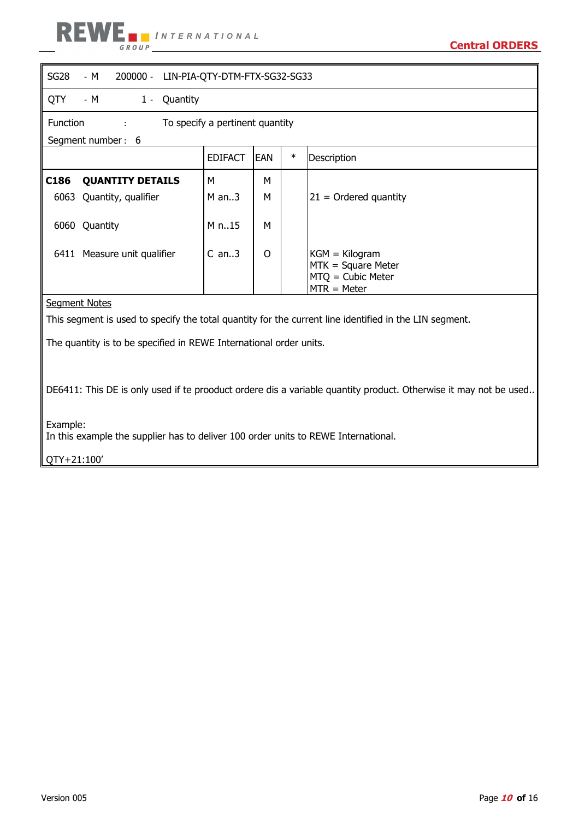

| SG <sub>28</sub> | - M<br>$200000 -$<br>LIN-PIA-QTY-DTM-FTX-SG32-SG33      |         |   |  |                                                                                |  |  |  |
|------------------|---------------------------------------------------------|---------|---|--|--------------------------------------------------------------------------------|--|--|--|
| QTY              | - M<br>1 - Quantity                                     |         |   |  |                                                                                |  |  |  |
|                  | <b>Function</b><br>To specify a pertinent quantity<br>÷ |         |   |  |                                                                                |  |  |  |
|                  | Segment number: 6                                       |         |   |  |                                                                                |  |  |  |
|                  | $\ast$<br><b>EDIFACT</b><br><b>EAN</b><br>Description   |         |   |  |                                                                                |  |  |  |
| C <sub>186</sub> | <b>QUANTITY DETAILS</b>                                 | M       | M |  |                                                                                |  |  |  |
| 6063             | Quantity, qualifier                                     | $M$ an3 | М |  | $ 21$ = Ordered quantity                                                       |  |  |  |
|                  | 6060 Quantity                                           | M n15   | м |  |                                                                                |  |  |  |
|                  | 6411 Measure unit qualifier                             | $C$ an3 | 0 |  | $KGM = Kilogram$<br>$MTK = Square Meter$<br>MTQ = Cubic Meter<br>$MTR = Meter$ |  |  |  |
|                  | Segment Notes                                           |         |   |  |                                                                                |  |  |  |

This segment is used to specify the total quantity for the current line identified in the LIN segment.

The quantity is to be specified in REWE International order units.

DE6411: This DE is only used if te prooduct ordere dis a variable quantity product. Otherwise it may not be used..

Example:

In this example the supplier has to deliver 100 order units to REWE International.

QTY+21:100'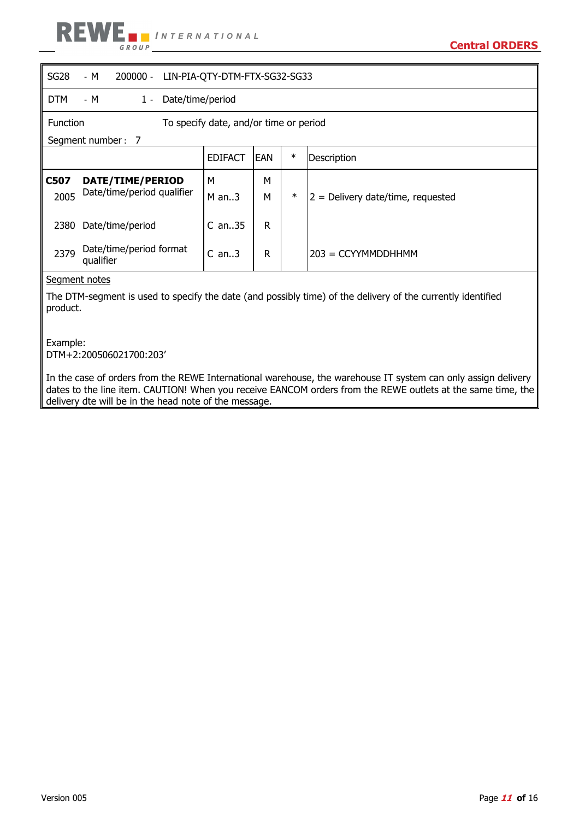

| SG28                                                      | - M<br>$200000 -$<br>LIN-PIA-QTY-DTM-FTX-SG32-SG33 |  |          |   |        |                                   |  |  |
|-----------------------------------------------------------|----------------------------------------------------|--|----------|---|--------|-----------------------------------|--|--|
| <b>DTM</b>                                                | Date/time/period<br>- M<br>$1 -$                   |  |          |   |        |                                   |  |  |
| <b>Function</b><br>To specify date, and/or time or period |                                                    |  |          |   |        |                                   |  |  |
|                                                           | Segment number: 7                                  |  |          |   |        |                                   |  |  |
|                                                           | $\ast$<br>IEAN<br><b>EDIFACT</b><br>Description    |  |          |   |        |                                   |  |  |
| C507                                                      | DATE/TIME/PERIOD                                   |  | М        | М |        |                                   |  |  |
| 2005                                                      | Date/time/period qualifier                         |  | $M$ an3  | м | $\ast$ | 2 = Delivery date/time, requested |  |  |
| 2380                                                      | Date/time/period                                   |  | $C$ an35 | R |        |                                   |  |  |
| 2379                                                      | Date/time/period format<br>qualifier               |  | $C$ an3  | R |        | $203 = CCYYMMDDHHMM$              |  |  |
|                                                           | Segment notes                                      |  |          |   |        |                                   |  |  |

The DTM-segment is used to specify the date (and possibly time) of the delivery of the currently identified product.

Example: DTM+2:200506021700:203'

In the case of orders from the REWE International warehouse, the warehouse IT system can only assign delivery dates to the line item. CAUTION! When you receive EANCOM orders from the REWE outlets at the same time, the delivery dte will be in the head note of the message.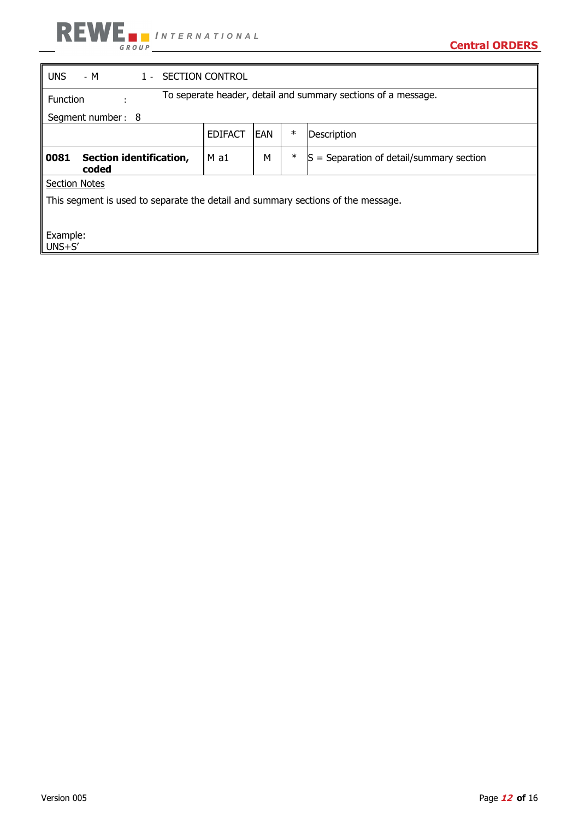

| <b>UNS</b><br>- M<br>1 - SECTION CONTROL                                         |                                                       |   |        |                                        |  |  |  |
|----------------------------------------------------------------------------------|-------------------------------------------------------|---|--------|----------------------------------------|--|--|--|
| To seperate header, detail and summary sections of a message.<br><b>Function</b> |                                                       |   |        |                                        |  |  |  |
| Segment number: 8                                                                |                                                       |   |        |                                        |  |  |  |
|                                                                                  | $\ast$<br><b>EDIFACT</b><br><b>EAN</b><br>Description |   |        |                                        |  |  |  |
| 0081<br>Section identification,<br>coded                                         | $M$ a1                                                | М | $\ast$ | = Separation of detail/summary section |  |  |  |
| <b>Section Notes</b>                                                             |                                                       |   |        |                                        |  |  |  |
| This segment is used to separate the detail and summary sections of the message. |                                                       |   |        |                                        |  |  |  |
|                                                                                  |                                                       |   |        |                                        |  |  |  |
| Example:<br>$UNS + S'$                                                           |                                                       |   |        |                                        |  |  |  |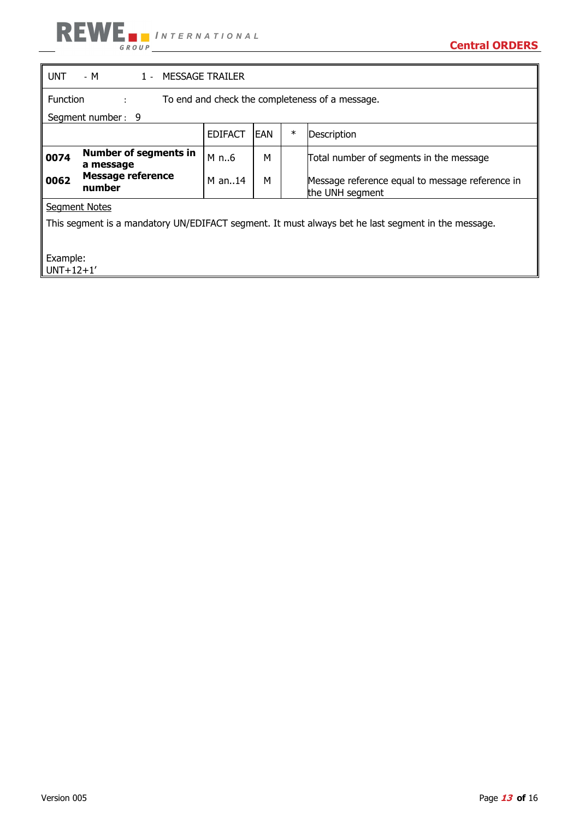| <b>UNT</b>                                                                                         | - M<br>1 - MESSAGE TRAILER                                              |                |            |        |                                                                    |  |  |  |
|----------------------------------------------------------------------------------------------------|-------------------------------------------------------------------------|----------------|------------|--------|--------------------------------------------------------------------|--|--|--|
|                                                                                                    | <b>Function</b><br>To end and check the completeness of a message.<br>÷ |                |            |        |                                                                    |  |  |  |
|                                                                                                    | Segment number: 9                                                       |                |            |        |                                                                    |  |  |  |
|                                                                                                    |                                                                         | <b>EDIFACT</b> | <b>EAN</b> | $\ast$ | Description                                                        |  |  |  |
| 0074                                                                                               | <b>Number of segments in</b><br>a message                               | M n6           | м          |        | Total number of segments in the message                            |  |  |  |
| 0062                                                                                               | <b>Message reference</b><br>number                                      | M an14         | М          |        | Message reference equal to message reference in<br>the UNH segment |  |  |  |
|                                                                                                    | <b>Segment Notes</b>                                                    |                |            |        |                                                                    |  |  |  |
| This segment is a mandatory UN/EDIFACT segment. It must always bet he last segment in the message. |                                                                         |                |            |        |                                                                    |  |  |  |
| Example:<br>$UNT+12+1'$                                                                            |                                                                         |                |            |        |                                                                    |  |  |  |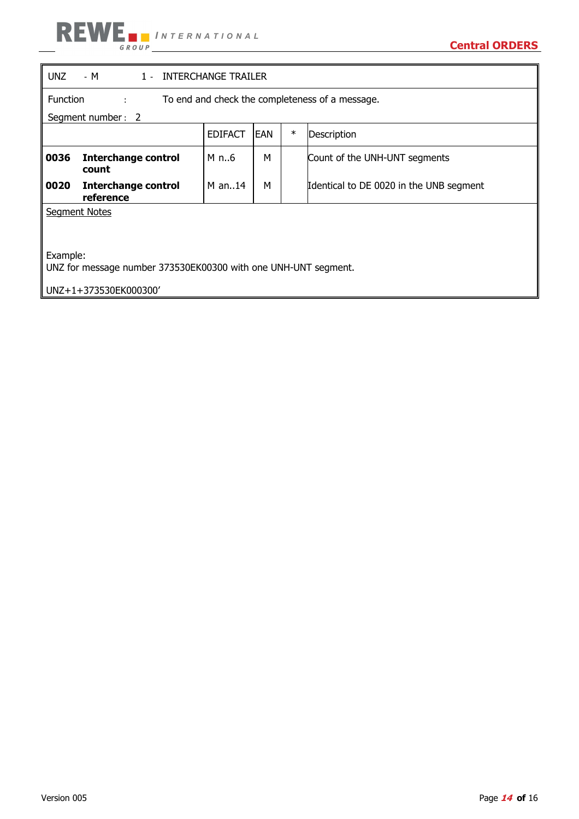# **REWE INTERNATIONAL**

| UNZ<br>$-M$<br>1 - INTERCHANGE TRAILER                                     |                                         |                |            |        |                                         |
|----------------------------------------------------------------------------|-----------------------------------------|----------------|------------|--------|-----------------------------------------|
| <b>Function</b><br>To end and check the completeness of a message.<br>÷    |                                         |                |            |        |                                         |
| Segment number: 2                                                          |                                         |                |            |        |                                         |
|                                                                            |                                         | <b>EDIFACT</b> | <b>EAN</b> | $\ast$ | Description                             |
| 0036                                                                       | <b>Interchange control</b><br>count     | M n6           | м          |        | Count of the UNH-UNT segments           |
| 0020                                                                       | <b>Interchange control</b><br>reference | $M$ an14       | М          |        | Identical to DE 0020 in the UNB segment |
| <b>Segment Notes</b>                                                       |                                         |                |            |        |                                         |
| Example:<br>UNZ for message number 373530EK00300 with one UNH-UNT segment. |                                         |                |            |        |                                         |
| UNZ+1+373530EK000300'                                                      |                                         |                |            |        |                                         |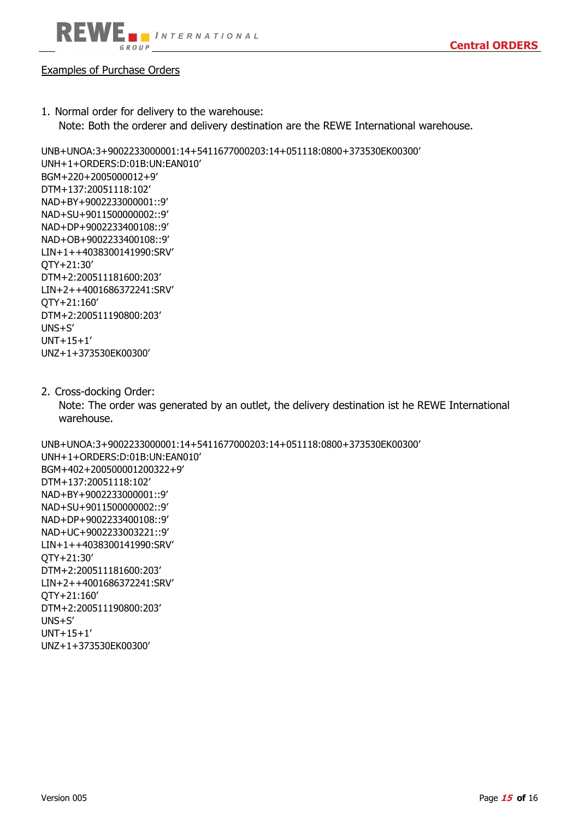

## Examples of Purchase Orders

1. Normal order for delivery to the warehouse: Note: Both the orderer and delivery destination are the REWE International warehouse.

UNB+UNOA:3+9002233000001:14+5411677000203:14+051118:0800+373530EK00300' UNH+1+ORDERS:D:01B:UN:EAN010' BGM+220+2005000012+9' DTM+137:20051118:102' NAD+BY+9002233000001::9' NAD+SU+9011500000002::9' NAD+DP+9002233400108::9' NAD+OB+9002233400108::9' LIN+1++4038300141990:SRV' QTY+21:30' DTM+2:200511181600:203' LIN+2++4001686372241:SRV' QTY+21:160' DTM+2:200511190800:203' UNS+S' UNT+15+1' UNZ+1+373530EK00300'

2. Cross-docking Order:

UNZ+1+373530EK00300'

Note: The order was generated by an outlet, the delivery destination ist he REWE International warehouse.

UNB+UNOA:3+9002233000001:14+5411677000203:14+051118:0800+373530EK00300' UNH+1+ORDERS:D:01B:UN:EAN010' BGM+402+200500001200322+9' DTM+137:20051118:102' NAD+BY+9002233000001::9' NAD+SU+9011500000002::9' NAD+DP+9002233400108::9' NAD+UC+9002233003221::9' LIN+1++4038300141990:SRV' QTY+21:30' DTM+2:200511181600:203' LIN+2++4001686372241:SRV' QTY+21:160' DTM+2:200511190800:203' UNS+S' UNT+15+1'